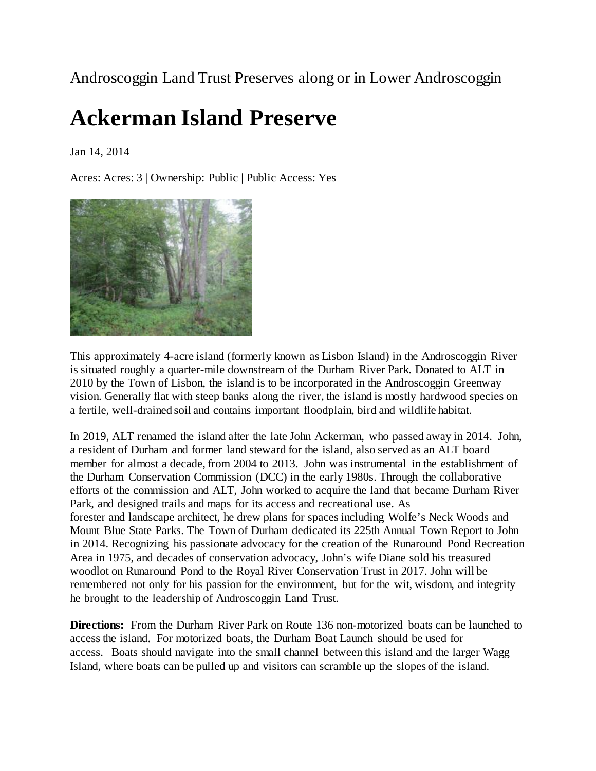Androscoggin Land Trust Preserves along or in Lower Androscoggin

### **Ackerman Island Preserve**

Jan 14, 2014

Acres: Acres: 3 | Ownership: Public | Public Access: Yes



This approximately 4-acre island (formerly known as Lisbon Island) in the Androscoggin River is situated roughly a quarter-mile downstream of the Durham River Park. Donated to ALT in 2010 by the Town of Lisbon, the island is to be incorporated in the Androscoggin Greenway vision. Generally flat with steep banks along the river, the island is mostly hardwood species on a fertile, well-drained soil and contains important floodplain, bird and wildlife habitat.

In 2019, ALT renamed the island after the late John Ackerman, who passed away in 2014. John, a resident of Durham and former land steward for the island, also served as an ALT board member for almost a decade, from 2004 to 2013. John was instrumental in the establishment of the Durham Conservation Commission (DCC) in the early 1980s. Through the collaborative efforts of the commission and ALT, John worked to acquire the land that became Durham River Park, and designed trails and maps for its access and recreational use. As forester and landscape architect, he drew plans for spaces including Wolfe's Neck Woods and Mount Blue State Parks. The Town of Durham dedicated its 225th Annual Town Report to John in 2014. Recognizing his passionate advocacy for the creation of the Runaround Pond Recreation Area in 1975, and decades of conservation advocacy, John's wife Diane sold his treasured woodlot on Runaround Pond to the Royal River Conservation Trust in 2017. John will be remembered not only for his passion for the environment, but for the wit, wisdom, and integrity he brought to the leadership of Androscoggin Land Trust.

**Directions:** From the Durham River Park on Route 136 non-motorized boats can be launched to access the island. For motorized boats, the Durham Boat Launch should be used for access. Boats should navigate into the small channel between this island and the larger Wagg Island, where boats can be pulled up and visitors can scramble up the slopes of the island.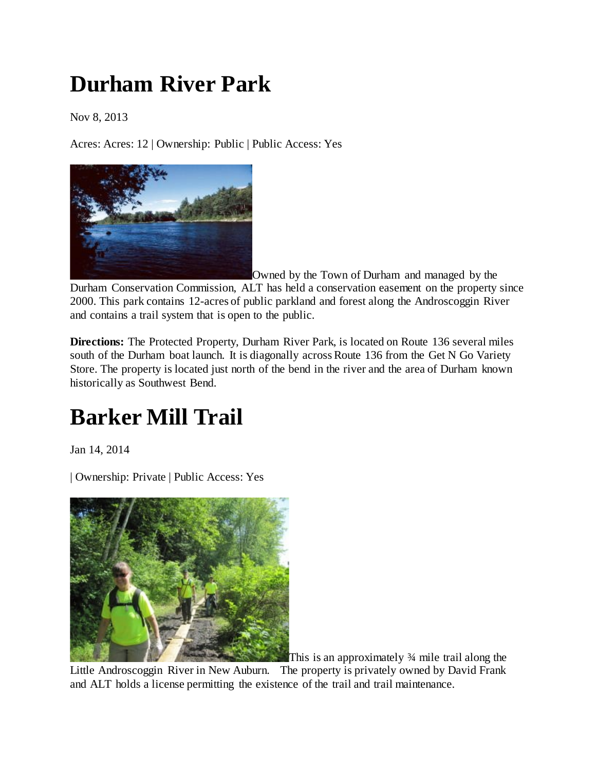## **Durham River Park**

Nov 8, 2013

Acres: Acres: 12 | Ownership: Public | Public Access: Yes



Owned by the Town of Durham and managed by the Durham Conservation Commission, ALT has held a conservation easement on the property since 2000. This park contains 12-acres of public parkland and forest along the Androscoggin River and contains a trail system that is open to the public.

**Directions:** The Protected Property, Durham River Park, is located on Route 136 several miles south of the Durham boat launch. It is diagonally across Route 136 from the Get N Go Variety Store. The property is located just north of the bend in the river and the area of Durham known historically as Southwest Bend.

# **Barker Mill Trail**

Jan 14, 2014

| Ownership: Private | Public Access: Yes



This is an approximately ¾ mile trail along the Little Androscoggin River in New Auburn. The property is privately owned by David Frank and ALT holds a license permitting the existence of the trail and trail maintenance.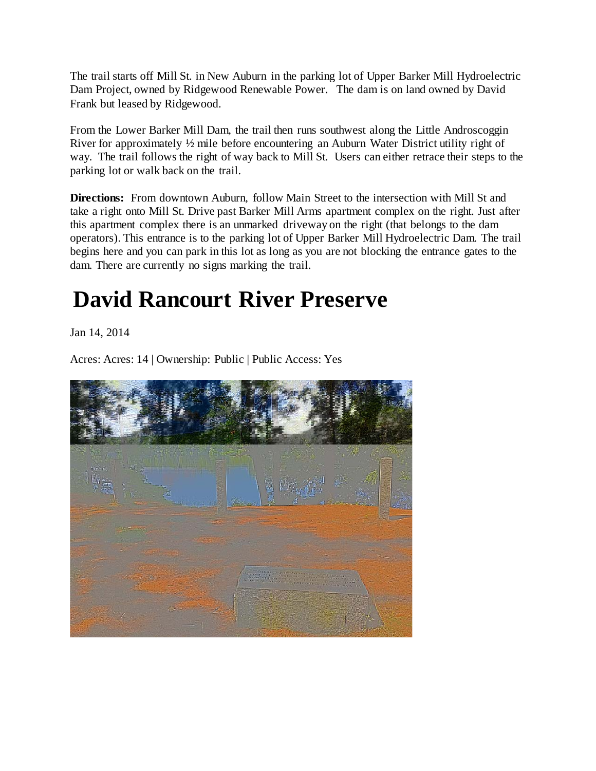The trail starts off Mill St. in New Auburn in the parking lot of Upper Barker Mill Hydroelectric Dam Project, owned by Ridgewood Renewable Power. The dam is on land owned by David Frank but leased by Ridgewood.

From the Lower Barker Mill Dam, the trail then runs southwest along the Little Androscoggin River for approximately ½ mile before encountering an Auburn Water District utility right of way. The trail follows the right of way back to Mill St. Users can either retrace their steps to the parking lot or walk back on the trail.

**Directions:** From downtown Auburn, follow Main Street to the intersection with Mill St and take a right onto Mill St. Drive past Barker Mill Arms apartment complex on the right. Just after this apartment complex there is an unmarked driveway on the right (that belongs to the dam operators). This entrance is to the parking lot of Upper Barker Mill Hydroelectric Dam. The trail begins here and you can park in this lot as long as you are not blocking the entrance gates to the dam. There are currently no signs marking the trail.

# **David Rancourt River Preserve**

Jan 14, 2014

Acres: Acres: 14 | Ownership: Public | Public Access: Yes

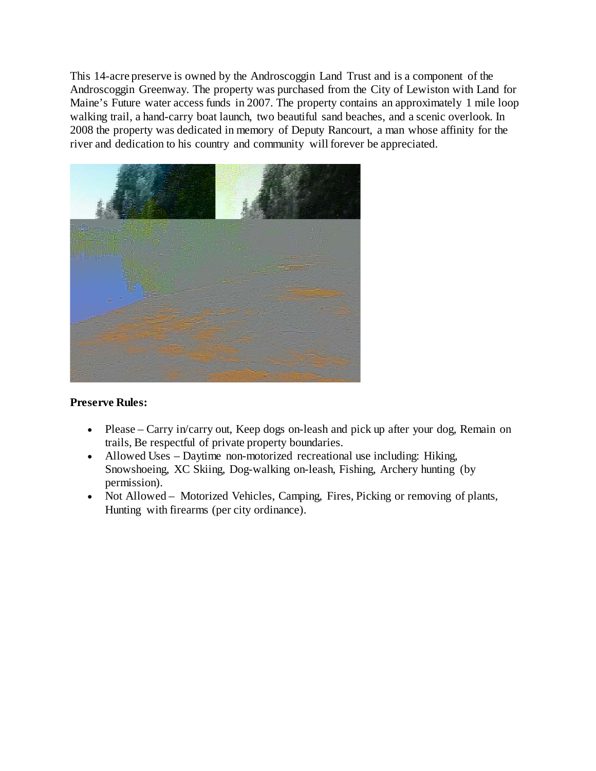This 14-acre preserve is owned by the Androscoggin Land Trust and is a component of the Androscoggin Greenway. The property was purchased from the City of Lewiston with Land for Maine's Future water access funds in 2007. The property contains an approximately 1 mile loop walking trail, a hand-carry boat launch, two beautiful sand beaches, and a scenic overlook. In 2008 the property was dedicated in memory of Deputy Rancourt, a man whose affinity for the river and dedication to his country and community will forever be appreciated.

![](_page_3_Picture_1.jpeg)

#### **Preserve Rules:**

- Please Carry in/carry out, Keep dogs on-leash and pick up after your dog, Remain on trails, Be respectful of private property boundaries.
- Allowed Uses Daytime non-motorized recreational use including: Hiking, Snowshoeing, XC Skiing, Dog-walking on-leash, Fishing, Archery hunting (by permission).
- Not Allowed Motorized Vehicles, Camping, Fires, Picking or removing of plants, Hunting with firearms (per city ordinance).